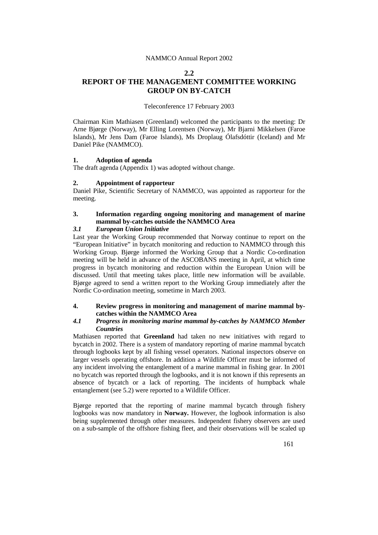#### NAMMCO Annual Report 2002

#### **2.2**

# **REPORT OF THE MANAGEMENT COMMITTEE WORKING GROUP ON BY-CATCH**

#### Teleconference 17 February 2003

Chairman Kim Mathiasen (Greenland) welcomed the participants to the meeting: Dr Arne Bjørge (Norway), Mr Elling Lorentsen (Norway), Mr Bjarni Mikkelsen (Faroe Islands), Mr Jens Dam (Faroe Islands), Ms Droplaug Ólafsdóttir (Iceland) and Mr Daniel Pike (NAMMCO).

#### **1. Adoption of agenda**

The draft agenda (Appendix 1) was adopted without change.

## **2. Appointment of rapporteur**

Daniel Pike, Scientific Secretary of NAMMCO, was appointed as rapporteur for the meeting.

## **3. Information regarding ongoing monitoring and management of marine mammal by-catches outside the NAMMCO Area**

## *3.1 European Union Initiative*

Last year the Working Group recommended that Norway continue to report on the "European Initiative" in bycatch monitoring and reduction to NAMMCO through this Working Group. Bjørge informed the Working Group that a Nordic Co-ordination meeting will be held in advance of the ASCOBANS meeting in April, at which time progress in bycatch monitoring and reduction within the European Union will be discussed. Until that meeting takes place, little new information will be available. Bjørge agreed to send a written report to the Working Group immediately after the Nordic Co-ordination meeting, sometime in March 2003.

#### **4. Review progress in monitoring and management of marine mammal bycatches within the NAMMCO Area**

#### *4.1 Progress in monitoring marine mammal by-catches by NAMMCO Member Countries*

Mathiasen reported that **Greenland** had taken no new initiatives with regard to bycatch in 2002. There is a system of mandatory reporting of marine mammal bycatch through logbooks kept by all fishing vessel operators. National inspectors observe on larger vessels operating offshore. In addition a Wildlife Officer must be informed of any incident involving the entanglement of a marine mammal in fishing gear. In 2001 no bycatch was reported through the logbooks, and it is not known if this represents an absence of bycatch or a lack of reporting. The incidents of humpback whale entanglement (see 5.2) were reported to a Wildlife Officer.

Bjørge reported that the reporting of marine mammal bycatch through fishery logbooks was now mandatory in **Norway**. However, the logbook information is also being supplemented through other measures. Independent fishery observers are used on a sub-sample of the offshore fishing fleet, and their observations will be scaled up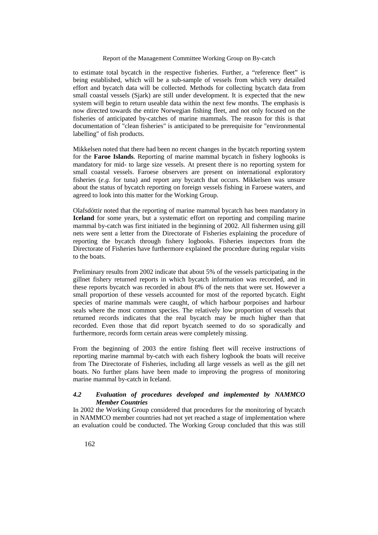#### Report of the Management Committee Working Group on By-catch

to estimate total bycatch in the respective fisheries. Further, a "reference fleet" is being established, which will be a sub-sample of vessels from which very detailed effort and bycatch data will be collected. Methods for collecting bycatch data from small coastal vessels (Sjark) are still under development. It is expected that the new system will begin to return useable data within the next few months. The emphasis is now directed towards the entire Norwegian fishing fleet, and not only focused on the fisheries of anticipated by-catches of marine mammals. The reason for this is that documentation of "clean fisheries" is anticipated to be prerequisite for "environmental labelling" of fish products.

Mikkelsen noted that there had been no recent changes in the bycatch reporting system for the **Faroe Islands**. Reporting of marine mammal bycatch in fishery logbooks is mandatory for mid- to large size vessels. At present there is no reporting system for small coastal vessels. Faroese observers are present on international exploratory fisheries (*e.g.* for tuna) and report any bycatch that occurs. Mikkelsen was unsure about the status of bycatch reporting on foreign vessels fishing in Faroese waters, and agreed to look into this matter for the Working Group.

Olafsdóttir noted that the reporting of marine mammal bycatch has been mandatory in **Iceland** for some years, but a systematic effort on reporting and compiling marine mammal by-catch was first initiated in the beginning of 2002. All fishermen using gill nets were sent a letter from the Directorate of Fisheries explaining the procedure of reporting the bycatch through fishery logbooks. Fisheries inspectors from the Directorate of Fisheries have furthermore explained the procedure during regular visits to the boats.

Preliminary results from 2002 indicate that about 5% of the vessels participating in the gillnet fishery returned reports in which bycatch information was recorded, and in these reports bycatch was recorded in about 8% of the nets that were set. However a small proportion of these vessels accounted for most of the reported bycatch. Eight species of marine mammals were caught, of which harbour porpoises and harbour seals where the most common species. The relatively low proportion of vessels that returned records indicates that the real bycatch may be much higher than that recorded. Even those that did report bycatch seemed to do so sporadically and furthermore, records form certain areas were completely missing.

From the beginning of 2003 the entire fishing fleet will receive instructions of reporting marine mammal by-catch with each fishery logbook the boats will receive from The Directorate of Fisheries, including all large vessels as well as the gill net boats. No further plans have been made to improving the progress of monitoring marine mammal by-catch in Iceland.

### *4.2 Evaluation of procedures developed and implemented by NAMMCO Member Countries*

In 2002 the Working Group considered that procedures for the monitoring of bycatch in NAMMCO member countries had not yet reached a stage of implementation where an evaluation could be conducted. The Working Group concluded that this was still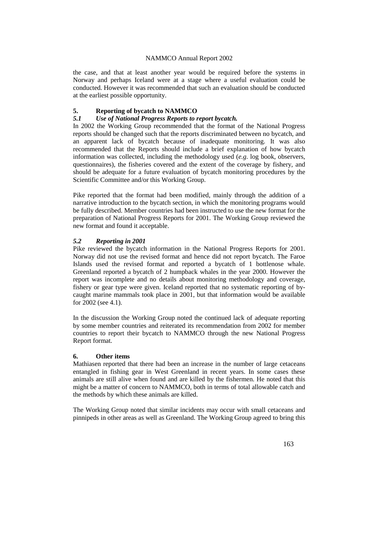#### NAMMCO Annual Report 2002

the case, and that at least another year would be required before the systems in Norway and perhaps Iceland were at a stage where a useful evaluation could be conducted. However it was recommended that such an evaluation should be conducted at the earliest possible opportunity.

## **5. Reporting of bycatch to NAMMCO**

#### *5.1 Use of National Progress Reports to report bycatch.*

In 2002 the Working Group recommended that the format of the National Progress reports should be changed such that the reports discriminated between no bycatch, and an apparent lack of bycatch because of inadequate monitoring. It was also recommended that the Reports should include a brief explanation of how bycatch information was collected, including the methodology used (*e.g*. log book, observers, questionnaires), the fisheries covered and the extent of the coverage by fishery, and should be adequate for a future evaluation of bycatch monitoring procedures by the Scientific Committee and/or this Working Group.

Pike reported that the format had been modified, mainly through the addition of a narrative introduction to the bycatch section, in which the monitoring programs would be fully described. Member countries had been instructed to use the new format for the preparation of National Progress Reports for 2001. The Working Group reviewed the new format and found it acceptable.

#### *5.2 Reporting in 2001*

Pike reviewed the bycatch information in the National Progress Reports for 2001. Norway did not use the revised format and hence did not report bycatch. The Faroe Islands used the revised format and reported a bycatch of 1 bottlenose whale. Greenland reported a bycatch of 2 humpback whales in the year 2000. However the report was incomplete and no details about monitoring methodology and coverage, fishery or gear type were given. Iceland reported that no systematic reporting of bycaught marine mammals took place in 2001, but that information would be available for 2002 (see 4.1).

In the discussion the Working Group noted the continued lack of adequate reporting by some member countries and reiterated its recommendation from 2002 for member countries to report their bycatch to NAMMCO through the new National Progress Report format.

#### **6. Other items**

Mathiasen reported that there had been an increase in the number of large cetaceans entangled in fishing gear in West Greenland in recent years. In some cases these animals are still alive when found and are killed by the fishermen. He noted that this might be a matter of concern to NAMMCO, both in terms of total allowable catch and the methods by which these animals are killed.

The Working Group noted that similar incidents may occur with small cetaceans and pinnipeds in other areas as well as Greenland. The Working Group agreed to bring this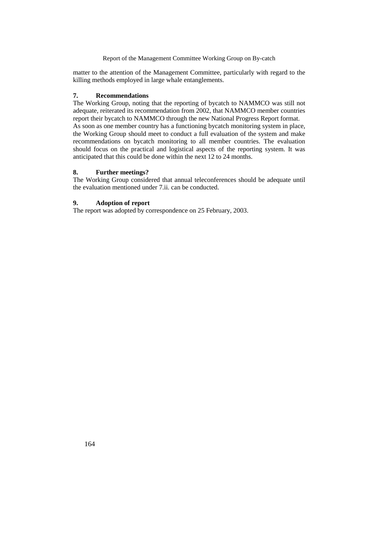Report of the Management Committee Working Group on By-catch

matter to the attention of the Management Committee, particularly with regard to the killing methods employed in large whale entanglements.

## **7. Recommendations**

The Working Group, noting that the reporting of bycatch to NAMMCO was still not adequate, reiterated its recommendation from 2002, that NAMMCO member countries report their bycatch to NAMMCO through the new National Progress Report format. As soon as one member country has a functioning bycatch monitoring system in place, the Working Group should meet to conduct a full evaluation of the system and make recommendations on bycatch monitoring to all member countries. The evaluation should focus on the practical and logistical aspects of the reporting system. It was anticipated that this could be done within the next 12 to 24 months.

#### **8. Further meetings?**

The Working Group considered that annual teleconferences should be adequate until the evaluation mentioned under 7.ii. can be conducted.

#### **9. Adoption of report**

The report was adopted by correspondence on 25 February, 2003.